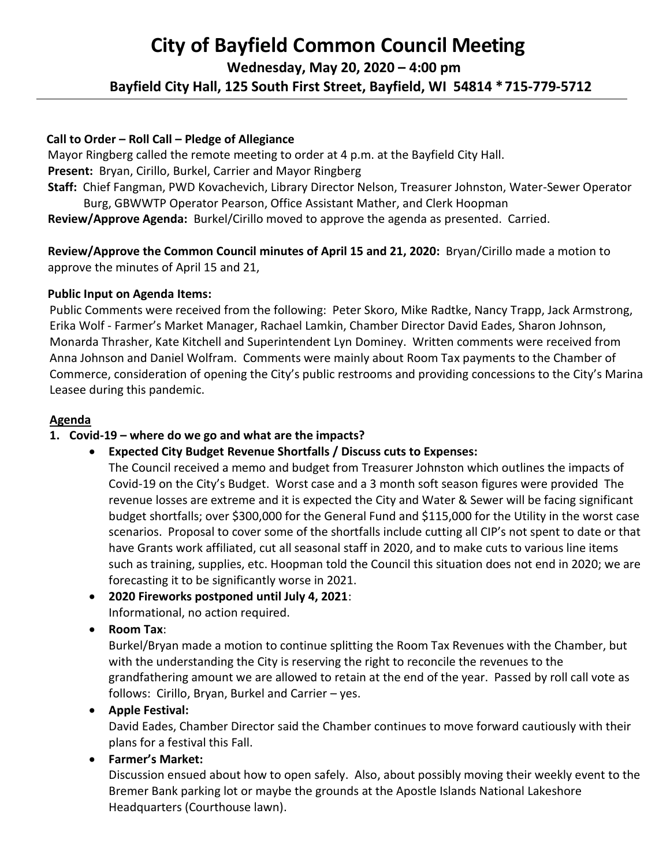# **City of Bayfield Common Council Meeting Wednesday, May 20, 2020 – 4:00 pm Bayfield City Hall, 125 South First Street, Bayfield, WI 54814 \*715-779-5712**

## **Call to Order – Roll Call – Pledge of Allegiance**

 Mayor Ringberg called the remote meeting to order at 4 p.m. at the Bayfield City Hall.  **Present:** Bryan, Cirillo, Burkel, Carrier and Mayor Ringberg  **Staff:** Chief Fangman, PWD Kovachevich, Library Director Nelson, Treasurer Johnston, Water-Sewer Operator

Burg, GBWWTP Operator Pearson, Office Assistant Mather, and Clerk Hoopman

 **Review/Approve Agenda:** Burkel/Cirillo moved to approve the agenda as presented. Carried.

 **Review/Approve the Common Council minutes of April 15 and 21, 2020:** Bryan/Cirillo made a motion to approve the minutes of April 15 and 21,

### **Public Input on Agenda Items:**

Public Comments were received from the following: Peter Skoro, Mike Radtke, Nancy Trapp, Jack Armstrong, Erika Wolf - Farmer's Market Manager, Rachael Lamkin, Chamber Director David Eades, Sharon Johnson, Monarda Thrasher, Kate Kitchell and Superintendent Lyn Dominey. Written comments were received from Anna Johnson and Daniel Wolfram. Comments were mainly about Room Tax payments to the Chamber of Commerce, consideration of opening the City's public restrooms and providing concessions to the City's Marina Leasee during this pandemic.

### **Agenda**

## **1. Covid-19 – where do we go and what are the impacts?**

## • **Expected City Budget Revenue Shortfalls / Discuss cuts to Expenses:**

The Council received a memo and budget from Treasurer Johnston which outlines the impacts of Covid-19 on the City's Budget. Worst case and a 3 month soft season figures were provided The revenue losses are extreme and it is expected the City and Water & Sewer will be facing significant budget shortfalls; over \$300,000 for the General Fund and \$115,000 for the Utility in the worst case scenarios. Proposal to cover some of the shortfalls include cutting all CIP's not spent to date or that have Grants work affiliated, cut all seasonal staff in 2020, and to make cuts to various line items such as training, supplies, etc. Hoopman told the Council this situation does not end in 2020; we are forecasting it to be significantly worse in 2021.

- **2020 Fireworks postponed until July 4, 2021**: Informational, no action required.
- **Room Tax**:

Burkel/Bryan made a motion to continue splitting the Room Tax Revenues with the Chamber, but with the understanding the City is reserving the right to reconcile the revenues to the grandfathering amount we are allowed to retain at the end of the year. Passed by roll call vote as follows: Cirillo, Bryan, Burkel and Carrier – yes.

• **Apple Festival:**

David Eades, Chamber Director said the Chamber continues to move forward cautiously with their plans for a festival this Fall.

## • **Farmer's Market:**

Discussion ensued about how to open safely. Also, about possibly moving their weekly event to the Bremer Bank parking lot or maybe the grounds at the Apostle Islands National Lakeshore Headquarters (Courthouse lawn).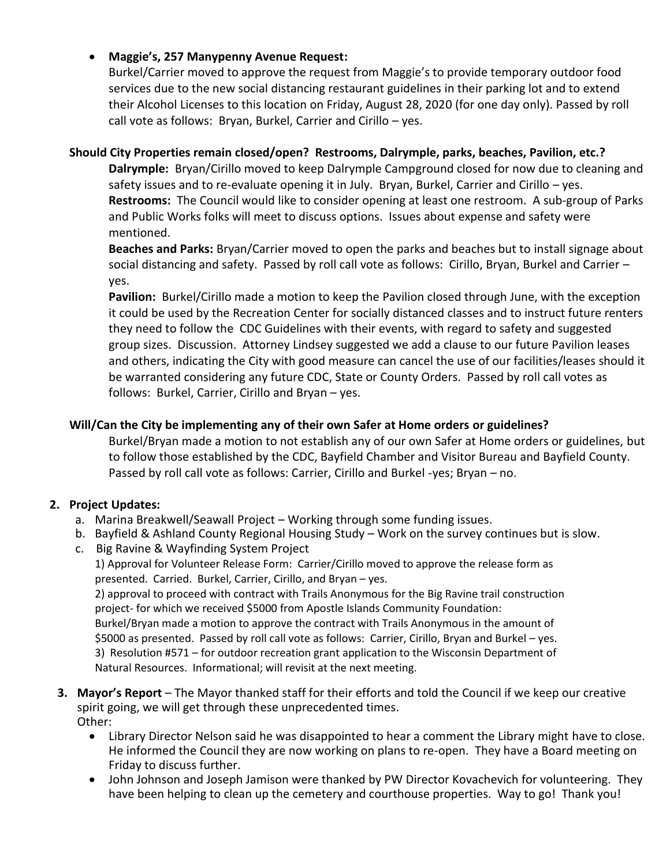## • **Maggie's, 257 Manypenny Avenue Request:**

Burkel/Carrier moved to approve the request from Maggie's to provide temporary outdoor food services due to the new social distancing restaurant guidelines in their parking lot and to extend their Alcohol Licenses to this location on Friday, August 28, 2020 (for one day only). Passed by roll call vote as follows: Bryan, Burkel, Carrier and Cirillo – yes.

## **Should City Properties remain closed/open? Restrooms, Dalrymple, parks, beaches, Pavilion, etc.?**

**Dalrymple:** Bryan/Cirillo moved to keep Dalrymple Campground closed for now due to cleaning and safety issues and to re-evaluate opening it in July. Bryan, Burkel, Carrier and Cirillo – yes. **Restrooms:** The Council would like to consider opening at least one restroom. A sub-group of Parks and Public Works folks will meet to discuss options. Issues about expense and safety were mentioned.

**Beaches and Parks:** Bryan/Carrier moved to open the parks and beaches but to install signage about social distancing and safety. Passed by roll call vote as follows: Cirillo, Bryan, Burkel and Carrier – yes.

**Pavilion:** Burkel/Cirillo made a motion to keep the Pavilion closed through June, with the exception it could be used by the Recreation Center for socially distanced classes and to instruct future renters they need to follow the CDC Guidelines with their events, with regard to safety and suggested group sizes. Discussion. Attorney Lindsey suggested we add a clause to our future Pavilion leases and others, indicating the City with good measure can cancel the use of our facilities/leases should it be warranted considering any future CDC, State or County Orders. Passed by roll call votes as follows: Burkel, Carrier, Cirillo and Bryan – yes.

## **Will/Can the City be implementing any of their own Safer at Home orders or guidelines?**

Burkel/Bryan made a motion to not establish any of our own Safer at Home orders or guidelines, but to follow those established by the CDC, Bayfield Chamber and Visitor Bureau and Bayfield County. Passed by roll call vote as follows: Carrier, Cirillo and Burkel -yes; Bryan – no.

## **2. Project Updates:**

- a. Marina Breakwell/Seawall Project Working through some funding issues.
- b. Bayfield & Ashland County Regional Housing Study Work on the survey continues but is slow.
- c. Big Ravine & Wayfinding System Project

1) Approval for Volunteer Release Form: Carrier/Cirillo moved to approve the release form as presented. Carried. Burkel, Carrier, Cirillo, and Bryan – yes.

2) approval to proceed with contract with Trails Anonymous for the Big Ravine trail construction project- for which we received \$5000 from Apostle Islands Community Foundation: Burkel/Bryan made a motion to approve the contract with Trails Anonymous in the amount of \$5000 as presented. Passed by roll call vote as follows: Carrier, Cirillo, Bryan and Burkel – yes. 3) Resolution #571 – for outdoor recreation grant application to the Wisconsin Department of

Natural Resources. Informational; will revisit at the next meeting.

- **3. Mayor's Report** The Mayor thanked staff for their efforts and told the Council if we keep our creative spirit going, we will get through these unprecedented times. Other:
	- Library Director Nelson said he was disappointed to hear a comment the Library might have to close. He informed the Council they are now working on plans to re-open. They have a Board meeting on Friday to discuss further.
	- John Johnson and Joseph Jamison were thanked by PW Director Kovachevich for volunteering. They have been helping to clean up the cemetery and courthouse properties. Way to go! Thank you!